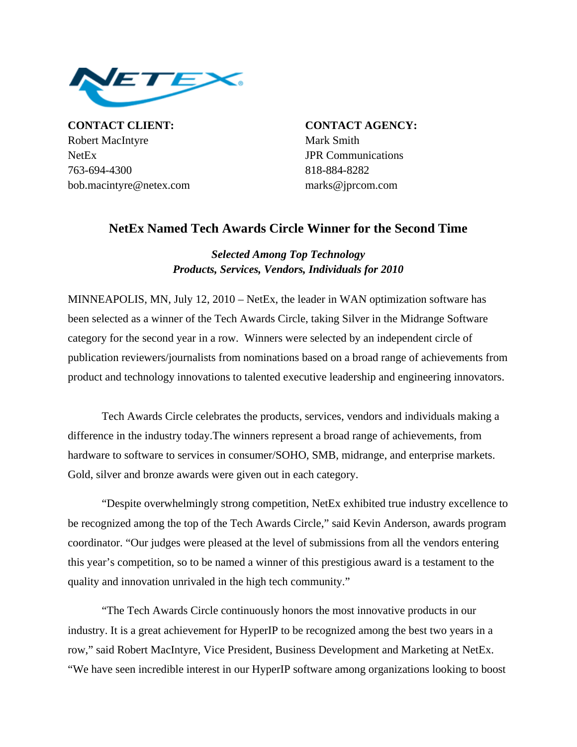

**CONTACT CLIENT: CONTACT AGENCY:** Robert MacIntyre Mark Smith NetEx JPR Communications 763-694-4300 818-884-8282 bob.macintyre@netex.com marks@jprcom.com

## **NetEx Named Tech Awards Circle Winner for the Second Time**

*Selected Among Top Technology Products, Services, Vendors, Individuals for 2010* 

MINNEAPOLIS, MN, July 12, 2010 – NetEx, the leader in WAN optimization software has been selected as a winner of the Tech Awards Circle, taking Silver in the Midrange Software category for the second year in a row. Winners were selected by an independent circle of publication reviewers/journalists from nominations based on a broad range of achievements from product and technology innovations to talented executive leadership and engineering innovators.

Tech Awards Circle celebrates the products, services, vendors and individuals making a difference in the industry today.The winners represent a broad range of achievements, from hardware to software to services in consumer/SOHO, SMB, midrange, and enterprise markets. Gold, silver and bronze awards were given out in each category.

"Despite overwhelmingly strong competition, NetEx exhibited true industry excellence to be recognized among the top of the Tech Awards Circle," said Kevin Anderson, awards program coordinator. "Our judges were pleased at the level of submissions from all the vendors entering this year's competition, so to be named a winner of this prestigious award is a testament to the quality and innovation unrivaled in the high tech community."

"The Tech Awards Circle continuously honors the most innovative products in our industry. It is a great achievement for HyperIP to be recognized among the best two years in a row," said Robert MacIntyre, Vice President, Business Development and Marketing at NetEx. "We have seen incredible interest in our HyperIP software among organizations looking to boost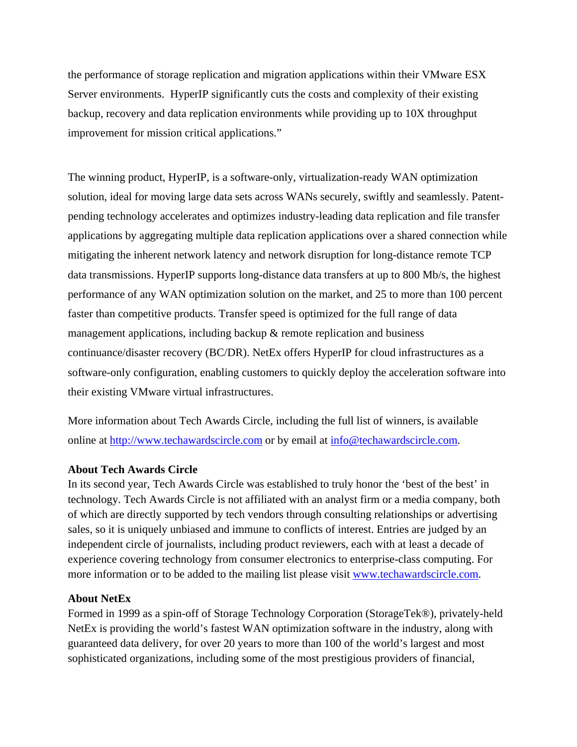the performance of storage replication and migration applications within their VMware ESX Server environments. HyperIP significantly cuts the costs and complexity of their existing backup, recovery and data replication environments while providing up to 10X throughput improvement for mission critical applications."

The winning product, HyperIP, is a software-only, virtualization-ready WAN optimization solution, ideal for moving large data sets across WANs securely, swiftly and seamlessly. Patentpending technology accelerates and optimizes industry-leading data replication and file transfer applications by aggregating multiple data replication applications over a shared connection while mitigating the inherent network latency and network disruption for long-distance remote TCP data transmissions. HyperIP supports long-distance data transfers at up to 800 Mb/s, the highest performance of any WAN optimization solution on the market, and 25 to more than 100 percent faster than competitive products. Transfer speed is optimized for the full range of data management applications, including backup & remote replication and business continuance/disaster recovery (BC/DR). NetEx offers HyperIP for cloud infrastructures as a software-only configuration, enabling customers to quickly deploy the acceleration software into their existing VMware virtual infrastructures.

More information about Tech Awards Circle, including the full list of winners, is available online at [http://www.techawardscircle.com](http://www.techawardscircle.com/) or by email at [info@techawardscircle.com.](mailto:info@techawardscircle.com)

## **About Tech Awards Circle**

In its second year, Tech Awards Circle was established to truly honor the 'best of the best' in technology. Tech Awards Circle is not affiliated with an analyst firm or a media company, both of which are directly supported by tech vendors through consulting relationships or advertising sales, so it is uniquely unbiased and immune to conflicts of interest. Entries are judged by an independent circle of journalists, including product reviewers, each with at least a decade of experience covering technology from consumer electronics to enterprise-class computing. For more information or to be added to the mailing list please visit www.techawardscircle.com.

## **About NetEx**

Formed in 1999 as a spin-off of Storage Technology Corporation (StorageTek®), privately-held NetEx is providing the world's fastest WAN optimization software in the industry, along with guaranteed data delivery, for over 20 years to more than 100 of the world's largest and most sophisticated organizations, including some of the most prestigious providers of financial,